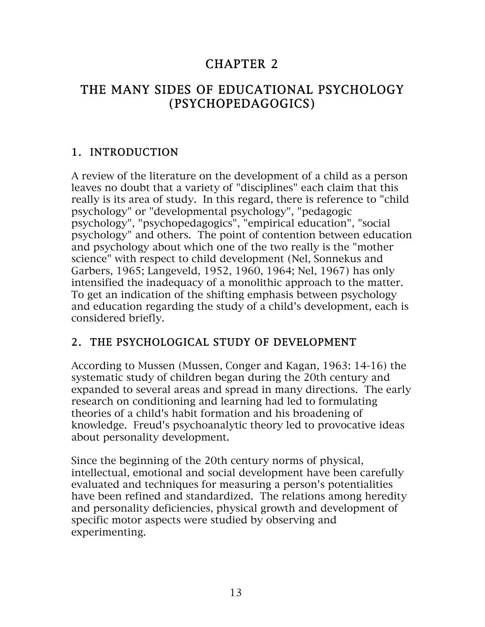# CHAPTER 2

# THE MANY SIDES OF EDUCATIONAL PSYCHOLOGY (PSYCHOPEDAGOGICS)

## 1. INTRODUCTION

A review of the literature on the development of a child as a person leaves no doubt that a variety of "disciplines" each claim that this really is its area of study. In this regard, there is reference to "child psychology" or "developmental psychology", "pedagogic psychology", "psychopedagogics", "empirical education", "social psychology" and others. The point of contention between education and psychology about which one of the two really is the "mother science" with respect to child development (Nel, Sonnekus and Garbers, 1965; Langeveld, 1952, 1960, 1964; Nel, 1967) has only intensified the inadequacy of a monolithic approach to the matter. To get an indication of the shifting emphasis between psychology and education regarding the study of a child's development, each is considered briefly.

## 2. THE PSYCHOLOGICAL STUDY OF DEVELOPMENT

According to Mussen (Mussen, Conger and Kagan, 1963: 14-16) the systematic study of children began during the 20th century and expanded to several areas and spread in many directions. The early research on conditioning and learning had led to formulating theories of a child's habit formation and his broadening of knowledge. Freud's psychoanalytic theory led to provocative ideas about personality development.

Since the beginning of the 20th century norms of physical, intellectual, emotional and social development have been carefully evaluated and techniques for measuring a person's potentialities have been refined and standardized. The relations among heredity and personality deficiencies, physical growth and development of specific motor aspects were studied by observing and experimenting.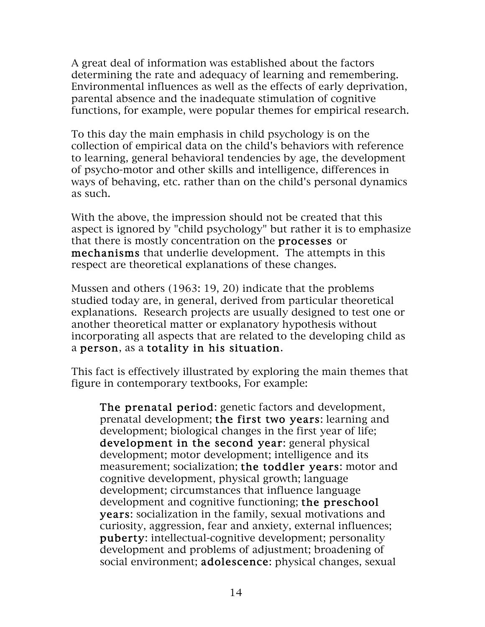A great deal of information was established about the factors determining the rate and adequacy of learning and remembering. Environmental influences as well as the effects of early deprivation, parental absence and the inadequate stimulation of cognitive functions, for example, were popular themes for empirical research.

To this day the main emphasis in child psychology is on the collection of empirical data on the child's behaviors with reference to learning, general behavioral tendencies by age, the development of psycho-motor and other skills and intelligence, differences in ways of behaving, etc. rather than on the child's personal dynamics as such.

With the above, the impression should not be created that this aspect is ignored by "child psychology" but rather it is to emphasize that there is mostly concentration on the processes or mechanisms that underlie development. The attempts in this respect are theoretical explanations of these changes.

Mussen and others (1963: 19, 20) indicate that the problems studied today are, in general, derived from particular theoretical explanations. Research projects are usually designed to test one or another theoretical matter or explanatory hypothesis without incorporating all aspects that are related to the developing child as a person, as a totality in his situation.

This fact is effectively illustrated by exploring the main themes that figure in contemporary textbooks, For example:

The prenatal period: genetic factors and development, prenatal development; the first two years: learning and development; biological changes in the first year of life; development in the second year: general physical development; motor development; intelligence and its measurement; socialization; the toddler years: motor and cognitive development, physical growth; language development; circumstances that influence language development and cognitive functioning; the preschool years: socialization in the family, sexual motivations and curiosity, aggression, fear and anxiety, external influences; puberty: intellectual-cognitive development; personality development and problems of adjustment; broadening of social environment; adolescence: physical changes, sexual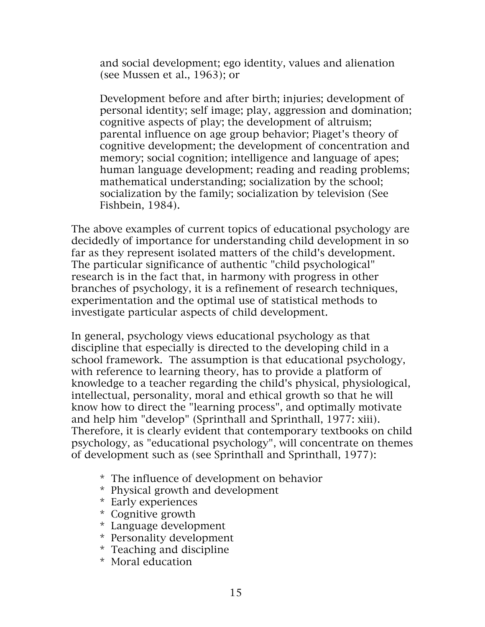and social development; ego identity, values and alienation (see Mussen et al., 1963); or

Development before and after birth; injuries; development of personal identity; self image; play, aggression and domination; cognitive aspects of play; the development of altruism; parental influence on age group behavior; Piaget's theory of cognitive development; the development of concentration and memory; social cognition; intelligence and language of apes; human language development; reading and reading problems; mathematical understanding; socialization by the school; socialization by the family; socialization by television (See Fishbein, 1984).

The above examples of current topics of educational psychology are decidedly of importance for understanding child development in so far as they represent isolated matters of the child's development. The particular significance of authentic "child psychological" research is in the fact that, in harmony with progress in other branches of psychology, it is a refinement of research techniques, experimentation and the optimal use of statistical methods to investigate particular aspects of child development.

In general, psychology views educational psychology as that discipline that especially is directed to the developing child in a school framework. The assumption is that educational psychology, with reference to learning theory, has to provide a platform of knowledge to a teacher regarding the child's physical, physiological, intellectual, personality, moral and ethical growth so that he will know how to direct the "learning process", and optimally motivate and help him "develop" (Sprinthall and Sprinthall, 1977: xiii). Therefore, it is clearly evident that contemporary textbooks on child psychology, as "educational psychology", will concentrate on themes of development such as (see Sprinthall and Sprinthall, 1977):

- \* The influence of development on behavior
- \* Physical growth and development
- \* Early experiences
- \* Cognitive growth
- \* Language development
- \* Personality development
- \* Teaching and discipline
- \* Moral education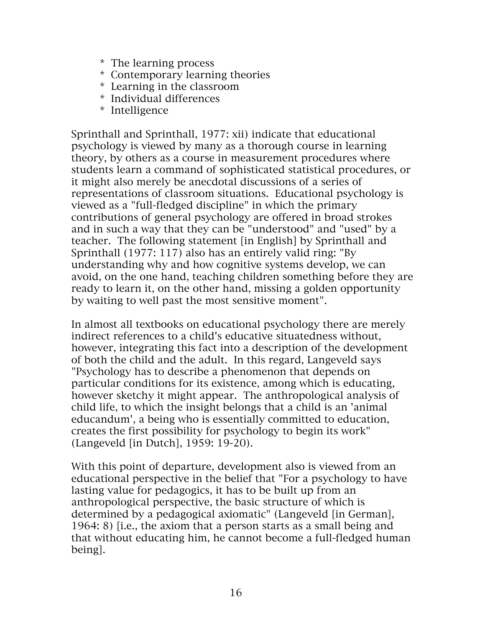- \* The learning process
- \* Contemporary learning theories
- \* Learning in the classroom
- \* Individual differences
- \* Intelligence

Sprinthall and Sprinthall, 1977: xii) indicate that educational psychology is viewed by many as a thorough course in learning theory, by others as a course in measurement procedures where students learn a command of sophisticated statistical procedures, or it might also merely be anecdotal discussions of a series of representations of classroom situations. Educational psychology is viewed as a "full-fledged discipline" in which the primary contributions of general psychology are offered in broad strokes and in such a way that they can be "understood" and "used" by a teacher. The following statement [in English] by Sprinthall and Sprinthall (1977: 117) also has an entirely valid ring: "By understanding why and how cognitive systems develop, we can avoid, on the one hand, teaching children something before they are ready to learn it, on the other hand, missing a golden opportunity by waiting to well past the most sensitive moment".

In almost all textbooks on educational psychology there are merely indirect references to a child's educative situatedness without, however, integrating this fact into a description of the development of both the child and the adult. In this regard, Langeveld says "Psychology has to describe a phenomenon that depends on particular conditions for its existence, among which is educating, however sketchy it might appear. The anthropological analysis of child life, to which the insight belongs that a child is an 'animal educandum', a being who is essentially committed to education, creates the first possibility for psychology to begin its work" (Langeveld [in Dutch], 1959: 19-20).

With this point of departure, development also is viewed from an educational perspective in the belief that "For a psychology to have lasting value for pedagogics, it has to be built up from an anthropological perspective, the basic structure of which is determined by a pedagogical axiomatic" (Langeveld [in German], 1964: 8) [i.e., the axiom that a person starts as a small being and that without educating him, he cannot become a full-fledged human being].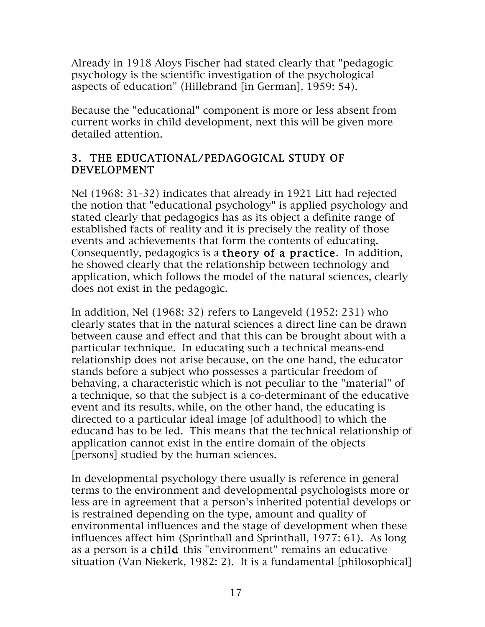Already in 1918 Aloys Fischer had stated clearly that "pedagogic psychology is the scientific investigation of the psychological aspects of education" (Hillebrand [in German], 1959: 54).

Because the "educational" component is more or less absent from current works in child development, next this will be given more detailed attention.

#### 3. THE EDUCATIONAL/PEDAGOGICAL STUDY OF DEVELOPMENT

Nel (1968: 31-32) indicates that already in 1921 Litt had rejected the notion that "educational psychology" is applied psychology and stated clearly that pedagogics has as its object a definite range of established facts of reality and it is precisely the reality of those events and achievements that form the contents of educating. Consequently, pedagogics is a theory of a practice. In addition, he showed clearly that the relationship between technology and application, which follows the model of the natural sciences, clearly does not exist in the pedagogic.

In addition, Nel (1968: 32) refers to Langeveld (1952: 231) who clearly states that in the natural sciences a direct line can be drawn between cause and effect and that this can be brought about with a particular technique. In educating such a technical means-end relationship does not arise because, on the one hand, the educator stands before a subject who possesses a particular freedom of behaving, a characteristic which is not peculiar to the "material" of a technique, so that the subject is a co-determinant of the educative event and its results, while, on the other hand, the educating is directed to a particular ideal image [of adulthood] to which the educand has to be led. This means that the technical relationship of application cannot exist in the entire domain of the objects [persons] studied by the human sciences.

In developmental psychology there usually is reference in general terms to the environment and developmental psychologists more or less are in agreement that a person's inherited potential develops or is restrained depending on the type, amount and quality of environmental influences and the stage of development when these influences affect him (Sprinthall and Sprinthall, 1977: 61). As long as a person is a child this "environment" remains an educative situation (Van Niekerk, 1982: 2). It is a fundamental [philosophical]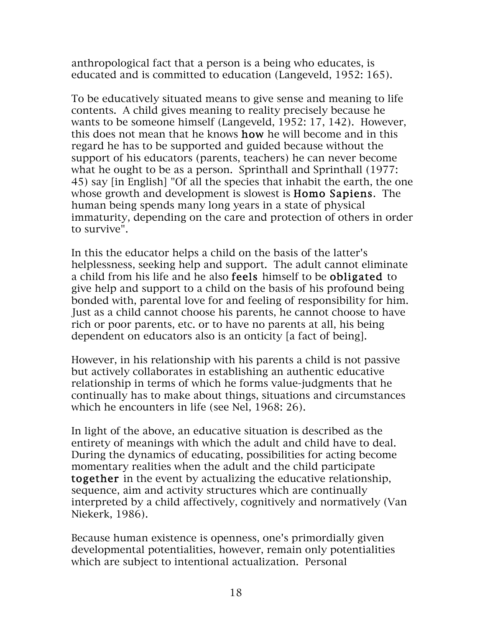anthropological fact that a person is a being who educates, is educated and is committed to education (Langeveld, 1952: 165).

To be educatively situated means to give sense and meaning to life contents. A child gives meaning to reality precisely because he wants to be someone himself (Langeveld, 1952: 17, 142). However, this does not mean that he knows how he will become and in this regard he has to be supported and guided because without the support of his educators (parents, teachers) he can never become what he ought to be as a person. Sprinthall and Sprinthall (1977: 45) say [in English] "Of all the species that inhabit the earth, the one whose growth and development is slowest is **Homo Sapiens**. The human being spends many long years in a state of physical immaturity, depending on the care and protection of others in order to survive".

In this the educator helps a child on the basis of the latter's helplessness, seeking help and support. The adult cannot eliminate a child from his life and he also feels himself to be obligated to give help and support to a child on the basis of his profound being bonded with, parental love for and feeling of responsibility for him. Just as a child cannot choose his parents, he cannot choose to have rich or poor parents, etc. or to have no parents at all, his being dependent on educators also is an onticity [a fact of being].

However, in his relationship with his parents a child is not passive but actively collaborates in establishing an authentic educative relationship in terms of which he forms value-judgments that he continually has to make about things, situations and circumstances which he encounters in life (see Nel, 1968: 26).

In light of the above, an educative situation is described as the entirety of meanings with which the adult and child have to deal. During the dynamics of educating, possibilities for acting become momentary realities when the adult and the child participate together in the event by actualizing the educative relationship, sequence, aim and activity structures which are continually interpreted by a child affectively, cognitively and normatively (Van Niekerk, 1986).

Because human existence is openness, one's primordially given developmental potentialities, however, remain only potentialities which are subject to intentional actualization. Personal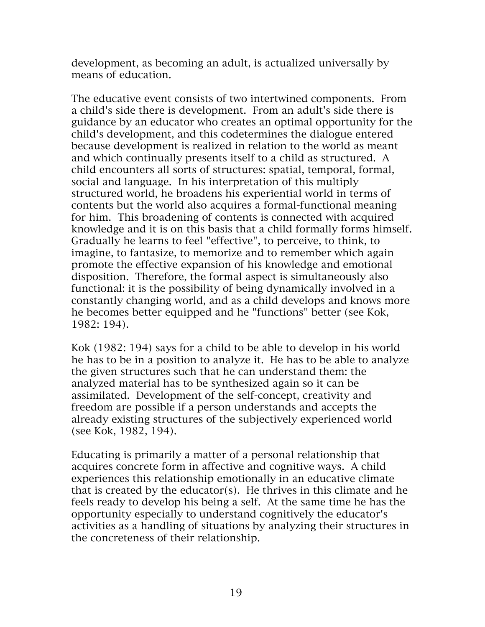development, as becoming an adult, is actualized universally by means of education.

The educative event consists of two intertwined components. From a child's side there is development. From an adult's side there is guidance by an educator who creates an optimal opportunity for the child's development, and this codetermines the dialogue entered because development is realized in relation to the world as meant and which continually presents itself to a child as structured. A child encounters all sorts of structures: spatial, temporal, formal, social and language. In his interpretation of this multiply structured world, he broadens his experiential world in terms of contents but the world also acquires a formal-functional meaning for him. This broadening of contents is connected with acquired knowledge and it is on this basis that a child formally forms himself. Gradually he learns to feel "effective", to perceive, to think, to imagine, to fantasize, to memorize and to remember which again promote the effective expansion of his knowledge and emotional disposition. Therefore, the formal aspect is simultaneously also functional: it is the possibility of being dynamically involved in a constantly changing world, and as a child develops and knows more he becomes better equipped and he "functions" better (see Kok, 1982: 194).

Kok (1982: 194) says for a child to be able to develop in his world he has to be in a position to analyze it. He has to be able to analyze the given structures such that he can understand them: the analyzed material has to be synthesized again so it can be assimilated. Development of the self-concept, creativity and freedom are possible if a person understands and accepts the already existing structures of the subjectively experienced world (see Kok, 1982, 194).

Educating is primarily a matter of a personal relationship that acquires concrete form in affective and cognitive ways. A child experiences this relationship emotionally in an educative climate that is created by the educator(s). He thrives in this climate and he feels ready to develop his being a self. At the same time he has the opportunity especially to understand cognitively the educator's activities as a handling of situations by analyzing their structures in the concreteness of their relationship.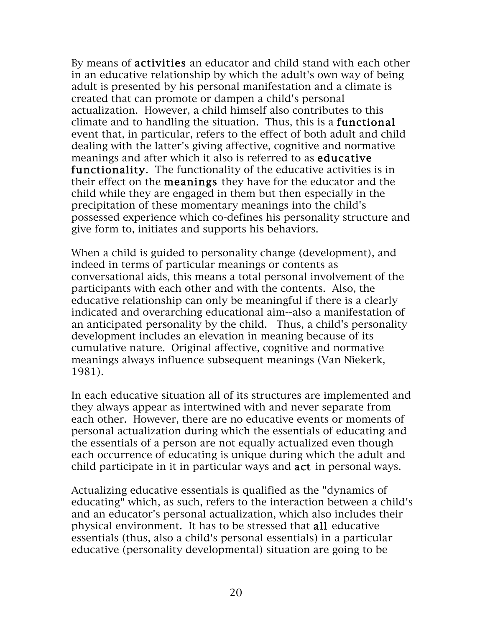By means of activities an educator and child stand with each other in an educative relationship by which the adult's own way of being adult is presented by his personal manifestation and a climate is created that can promote or dampen a child's personal actualization. However, a child himself also contributes to this climate and to handling the situation. Thus, this is a functional event that, in particular, refers to the effect of both adult and child dealing with the latter's giving affective, cognitive and normative meanings and after which it also is referred to as educative functionality. The functionality of the educative activities is in their effect on the meanings they have for the educator and the child while they are engaged in them but then especially in the precipitation of these momentary meanings into the child's possessed experience which co-defines his personality structure and give form to, initiates and supports his behaviors.

When a child is guided to personality change (development), and indeed in terms of particular meanings or contents as conversational aids, this means a total personal involvement of the participants with each other and with the contents. Also, the educative relationship can only be meaningful if there is a clearly indicated and overarching educational aim--also a manifestation of an anticipated personality by the child. Thus, a child's personality development includes an elevation in meaning because of its cumulative nature. Original affective, cognitive and normative meanings always influence subsequent meanings (Van Niekerk, 1981).

In each educative situation all of its structures are implemented and they always appear as intertwined with and never separate from each other. However, there are no educative events or moments of personal actualization during which the essentials of educating and the essentials of a person are not equally actualized even though each occurrence of educating is unique during which the adult and child participate in it in particular ways and act in personal ways.

Actualizing educative essentials is qualified as the "dynamics of educating" which, as such, refers to the interaction between a child's and an educator's personal actualization, which also includes their physical environment. It has to be stressed that all educative essentials (thus, also a child's personal essentials) in a particular educative (personality developmental) situation are going to be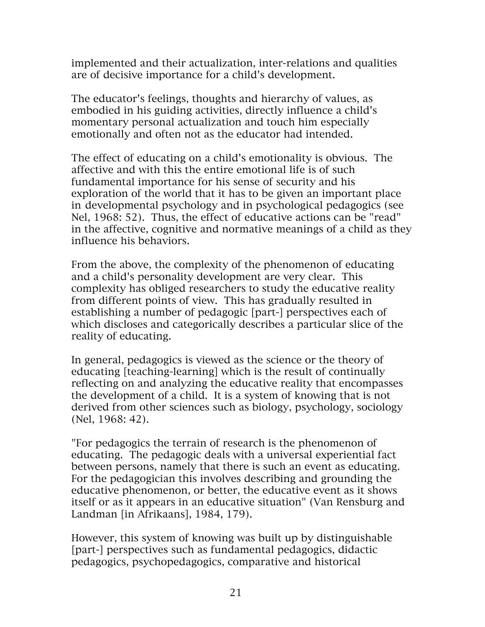implemented and their actualization, inter-relations and qualities are of decisive importance for a child's development.

The educator's feelings, thoughts and hierarchy of values, as embodied in his guiding activities, directly influence a child's momentary personal actualization and touch him especially emotionally and often not as the educator had intended.

The effect of educating on a child's emotionality is obvious. The affective and with this the entire emotional life is of such fundamental importance for his sense of security and his exploration of the world that it has to be given an important place in developmental psychology and in psychological pedagogics (see Nel, 1968: 52). Thus, the effect of educative actions can be "read" in the affective, cognitive and normative meanings of a child as they influence his behaviors.

From the above, the complexity of the phenomenon of educating and a child's personality development are very clear. This complexity has obliged researchers to study the educative reality from different points of view. This has gradually resulted in establishing a number of pedagogic [part-] perspectives each of which discloses and categorically describes a particular slice of the reality of educating.

In general, pedagogics is viewed as the science or the theory of educating [teaching-learning] which is the result of continually reflecting on and analyzing the educative reality that encompasses the development of a child. It is a system of knowing that is not derived from other sciences such as biology, psychology, sociology (Nel, 1968: 42).

"For pedagogics the terrain of research is the phenomenon of educating. The pedagogic deals with a universal experiential fact between persons, namely that there is such an event as educating. For the pedagogician this involves describing and grounding the educative phenomenon, or better, the educative event as it shows itself or as it appears in an educative situation" (Van Rensburg and Landman [in Afrikaans], 1984, 179).

However, this system of knowing was built up by distinguishable [part-] perspectives such as fundamental pedagogics, didactic pedagogics, psychopedagogics, comparative and historical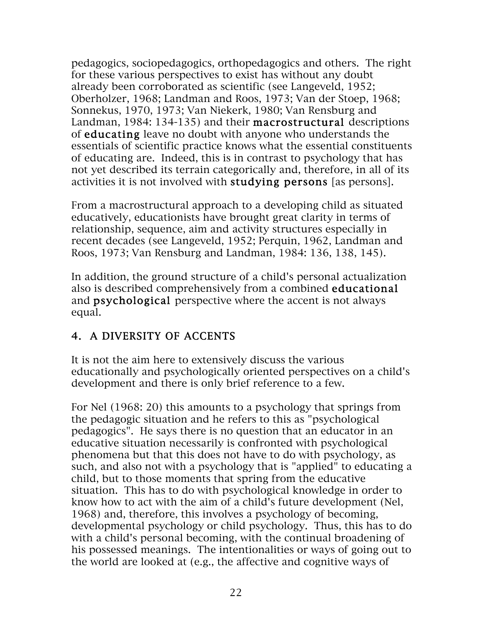pedagogics, sociopedagogics, orthopedagogics and others. The right for these various perspectives to exist has without any doubt already been corroborated as scientific (see Langeveld, 1952; Oberholzer, 1968; Landman and Roos, 1973; Van der Stoep, 1968; Sonnekus, 1970, 1973; Van Niekerk, 1980; Van Rensburg and Landman, 1984: 134-135) and their macrostructural descriptions of educating leave no doubt with anyone who understands the essentials of scientific practice knows what the essential constituents of educating are. Indeed, this is in contrast to psychology that has not yet described its terrain categorically and, therefore, in all of its activities it is not involved with studying persons [as persons].

From a macrostructural approach to a developing child as situated educatively, educationists have brought great clarity in terms of relationship, sequence, aim and activity structures especially in recent decades (see Langeveld, 1952; Perquin, 1962, Landman and Roos, 1973; Van Rensburg and Landman, 1984: 136, 138, 145).

In addition, the ground structure of a child's personal actualization also is described comprehensively from a combined educational and psychological perspective where the accent is not always equal.

## 4. A DIVERSITY OF ACCENTS

It is not the aim here to extensively discuss the various educationally and psychologically oriented perspectives on a child's development and there is only brief reference to a few.

For Nel (1968: 20) this amounts to a psychology that springs from the pedagogic situation and he refers to this as "psychological pedagogics". He says there is no question that an educator in an educative situation necessarily is confronted with psychological phenomena but that this does not have to do with psychology, as such, and also not with a psychology that is "applied" to educating a child, but to those moments that spring from the educative situation. This has to do with psychological knowledge in order to know how to act with the aim of a child's future development (Nel, 1968) and, therefore, this involves a psychology of becoming, developmental psychology or child psychology. Thus, this has to do with a child's personal becoming, with the continual broadening of his possessed meanings. The intentionalities or ways of going out to the world are looked at (e.g., the affective and cognitive ways of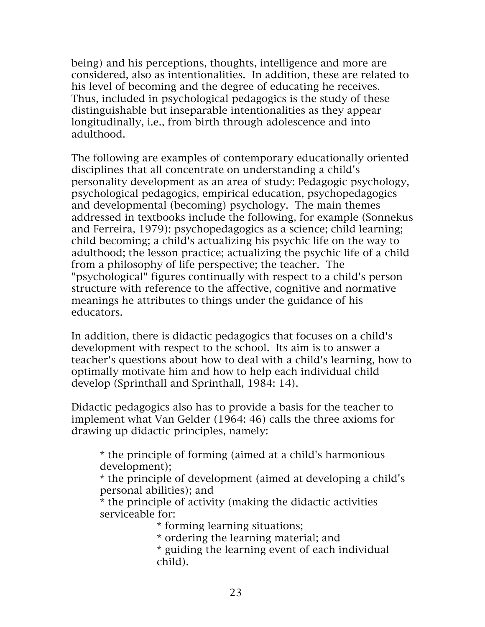being) and his perceptions, thoughts, intelligence and more are considered, also as intentionalities. In addition, these are related to his level of becoming and the degree of educating he receives. Thus, included in psychological pedagogics is the study of these distinguishable but inseparable intentionalities as they appear longitudinally, i.e., from birth through adolescence and into adulthood.

The following are examples of contemporary educationally oriented disciplines that all concentrate on understanding a child's personality development as an area of study: Pedagogic psychology, psychological pedagogics, empirical education, psychopedagogics and developmental (becoming) psychology. The main themes addressed in textbooks include the following, for example (Sonnekus and Ferreira, 1979): psychopedagogics as a science; child learning; child becoming; a child's actualizing his psychic life on the way to adulthood; the lesson practice; actualizing the psychic life of a child from a philosophy of life perspective; the teacher. The "psychological" figures continually with respect to a child's person structure with reference to the affective, cognitive and normative meanings he attributes to things under the guidance of his educators.

In addition, there is didactic pedagogics that focuses on a child's development with respect to the school. Its aim is to answer a teacher's questions about how to deal with a child's learning, how to optimally motivate him and how to help each individual child develop (Sprinthall and Sprinthall, 1984: 14).

Didactic pedagogics also has to provide a basis for the teacher to implement what Van Gelder (1964: 46) calls the three axioms for drawing up didactic principles, namely:

\* the principle of forming (aimed at a child's harmonious development);

\* the principle of development (aimed at developing a child's personal abilities); and

\* the principle of activity (making the didactic activities serviceable for:

\* forming learning situations;

\* ordering the learning material; and

\* guiding the learning event of each individual child).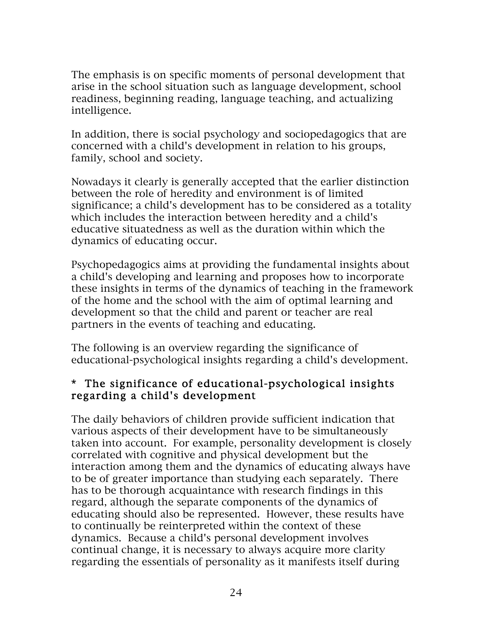The emphasis is on specific moments of personal development that arise in the school situation such as language development, school readiness, beginning reading, language teaching, and actualizing intelligence.

In addition, there is social psychology and sociopedagogics that are concerned with a child's development in relation to his groups, family, school and society.

Nowadays it clearly is generally accepted that the earlier distinction between the role of heredity and environment is of limited significance; a child's development has to be considered as a totality which includes the interaction between heredity and a child's educative situatedness as well as the duration within which the dynamics of educating occur.

Psychopedagogics aims at providing the fundamental insights about a child's developing and learning and proposes how to incorporate these insights in terms of the dynamics of teaching in the framework of the home and the school with the aim of optimal learning and development so that the child and parent or teacher are real partners in the events of teaching and educating.

The following is an overview regarding the significance of educational-psychological insights regarding a child's development.

#### \* The significance of educational-psychological insights regarding a child's development

The daily behaviors of children provide sufficient indication that various aspects of their development have to be simultaneously taken into account. For example, personality development is closely correlated with cognitive and physical development but the interaction among them and the dynamics of educating always have to be of greater importance than studying each separately. There has to be thorough acquaintance with research findings in this regard, although the separate components of the dynamics of educating should also be represented. However, these results have to continually be reinterpreted within the context of these dynamics. Because a child's personal development involves continual change, it is necessary to always acquire more clarity regarding the essentials of personality as it manifests itself during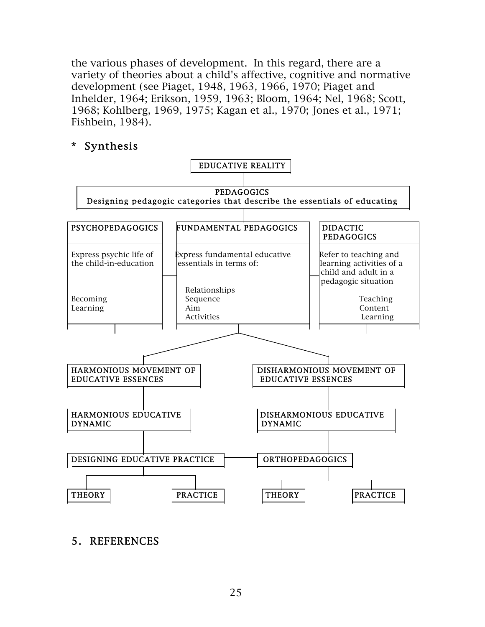the various phases of development. In this regard, there are a variety of theories about a child's affective, cognitive and normative development (see Piaget, 1948, 1963, 1966, 1970; Piaget and Inhelder, 1964; Erikson, 1959, 1963; Bloom, 1964; Nel, 1968; Scott, 1968; Kohlberg, 1969, 1975; Kagan et al., 1970; Jones et al., 1971; Fishbein, 1984).

#### \* Synthesis



#### 5. REFERENCES